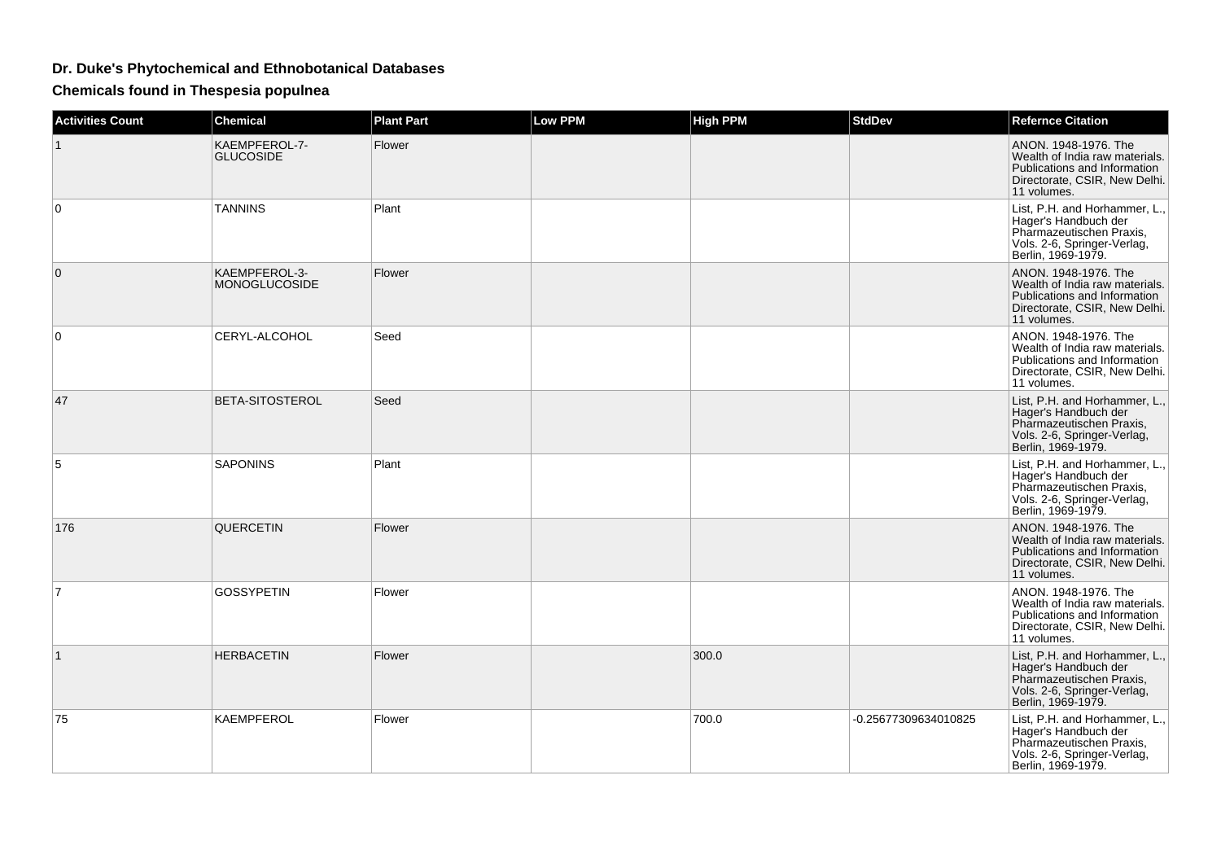## **Dr. Duke's Phytochemical and Ethnobotanical Databases**

**Chemicals found in Thespesia populnea**

| <b>Activities Count</b> | <b>Chemical</b>                   | <b>Plant Part</b> | <b>Low PPM</b> | <b>High PPM</b> | <b>StdDev</b>        | <b>Refernce Citation</b>                                                                                                               |
|-------------------------|-----------------------------------|-------------------|----------------|-----------------|----------------------|----------------------------------------------------------------------------------------------------------------------------------------|
| $\mathbf{1}$            | KAEMPFEROL-7-<br><b>GLUCOSIDE</b> | Flower            |                |                 |                      | ANON. 1948-1976. The<br>Wealth of India raw materials.<br>Publications and Information<br>Directorate, CSIR, New Delhi.<br>11 volumes. |
| 0                       | <b>TANNINS</b>                    | Plant             |                |                 |                      | List, P.H. and Horhammer, L.<br>Hager's Handbuch der<br>Pharmazeutischen Praxis,<br>Vols. 2-6, Springer-Verlag,<br>Berlin, 1969-1979.  |
| $\mathbf{0}$            | KAEMPFEROL-3-<br>MONOGLUCOSIDE    | Flower            |                |                 |                      | ANON, 1948-1976, The<br>Wealth of India raw materials.<br>Publications and Information<br>Directorate, CSIR, New Delhi.<br>11 volumes. |
| $\mathbf 0$             | CERYL-ALCOHOL                     | Seed              |                |                 |                      | ANON. 1948-1976. The<br>Wealth of India raw materials.<br>Publications and Information<br>Directorate, CSIR, New Delhi.<br>11 volumes. |
| 47                      | <b>BETA-SITOSTEROL</b>            | Seed              |                |                 |                      | List, P.H. and Horhammer, L.,<br>Hager's Handbuch der<br>Pharmazeutischen Praxis,<br>Vols. 2-6, Springer-Verlag,<br>Berlin, 1969-1979. |
| 5                       | <b>SAPONINS</b>                   | Plant             |                |                 |                      | List, P.H. and Horhammer, L.,<br>Hager's Handbuch der<br>Pharmazeutischen Praxis,<br>Vols. 2-6, Springer-Verlag,<br>Berlin, 1969-1979. |
| 176                     | QUERCETIN                         | Flower            |                |                 |                      | ANON. 1948-1976. The<br>Wealth of India raw materials.<br>Publications and Information<br>Directorate, CSIR, New Delhi.<br>11 volumes. |
| $\overline{7}$          | <b>GOSSYPETIN</b>                 | Flower            |                |                 |                      | ANON. 1948-1976. The<br>Wealth of India raw materials.<br>Publications and Information<br>Directorate, CSIR, New Delhi.<br>11 volumes. |
| $\mathbf{1}$            | <b>HERBACETIN</b>                 | Flower            |                | 300.0           |                      | List, P.H. and Horhammer, L.,<br>Hager's Handbuch der<br>Pharmazeutischen Praxis,<br>Vols. 2-6, Springer-Verlag,<br>Berlin, 1969-1979. |
| 75                      | KAEMPFEROL                        | Flower            |                | 700.0           | -0.25677309634010825 | List, P.H. and Horhammer, L.,<br>Hager's Handbuch der<br>Pharmazeutischen Praxis,<br>Vols. 2-6, Springer-Verlag,<br>Berlin, 1969-1979. |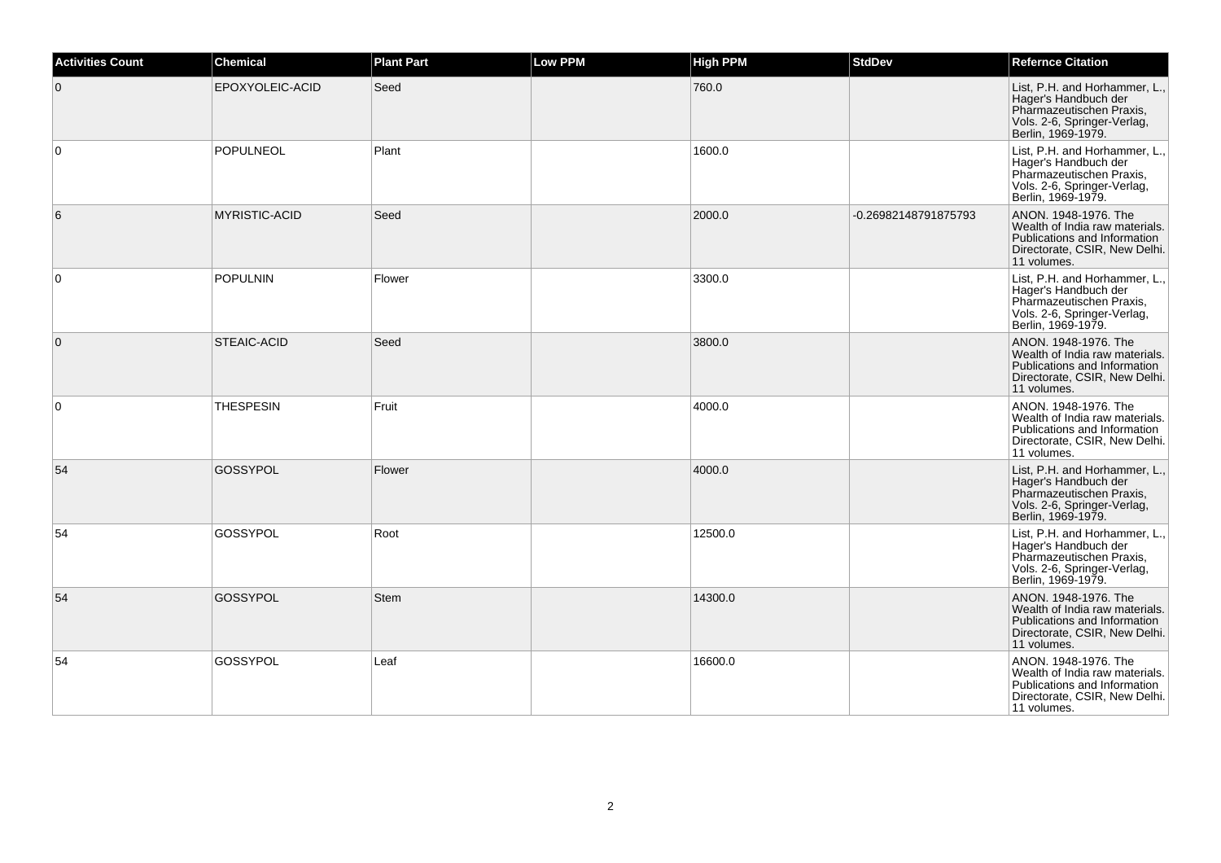| <b>Activities Count</b> | <b>Chemical</b>      | <b>Plant Part</b> | <b>Low PPM</b> | <b>High PPM</b> | <b>StdDev</b>        | <b>Refernce Citation</b>                                                                                                               |
|-------------------------|----------------------|-------------------|----------------|-----------------|----------------------|----------------------------------------------------------------------------------------------------------------------------------------|
| $\mathbf{0}$            | EPOXYOLEIC-ACID      | Seed              |                | 760.0           |                      | List, P.H. and Horhammer, L.,<br>Hager's Handbuch der<br>Pharmazeutischen Praxis,<br>Vols. 2-6, Springer-Verlag,<br>Berlin, 1969-1979. |
| $\mathbf 0$             | <b>POPULNEOL</b>     | Plant             |                | 1600.0          |                      | List, P.H. and Horhammer, L.,<br>Hager's Handbuch der<br>Pharmazeutischen Praxis.<br>Vols. 2-6, Springer-Verlag,<br>Berlin, 1969-1979. |
| 6                       | <b>MYRISTIC-ACID</b> | Seed              |                | 2000.0          | -0.26982148791875793 | ANON. 1948-1976. The<br>Wealth of India raw materials.<br>Publications and Information<br>Directorate, CSIR, New Delhi.<br>11 volumes. |
| $\mathbf 0$             | <b>POPULNIN</b>      | Flower            |                | 3300.0          |                      | List, P.H. and Horhammer, L.,<br>Hager's Handbuch der<br>Pharmazeutischen Praxis,<br>Vols. 2-6, Springer-Verlag,<br>Berlin, 1969-1979. |
| $\overline{0}$          | <b>STEAIC-ACID</b>   | Seed              |                | 3800.0          |                      | ANON. 1948-1976. The<br>Wealth of India raw materials.<br>Publications and Information<br>Directorate, CSIR, New Delhi.<br>11 volumes. |
| 0                       | <b>THESPESIN</b>     | Fruit             |                | 4000.0          |                      | ANON. 1948-1976. The<br>Wealth of India raw materials.<br>Publications and Information<br>Directorate, CSIR, New Delhi.<br>11 volumes. |
| 54                      | GOSSYPOL             | Flower            |                | 4000.0          |                      | List, P.H. and Horhammer, L.,<br>Hager's Handbuch der<br>Pharmazeutischen Praxis,<br>Vols. 2-6, Springer-Verlag,<br>Berlin, 1969-1979. |
| 54                      | GOSSYPOL             | Root              |                | 12500.0         |                      | List, P.H. and Horhammer, L.,<br>Hager's Handbuch der<br>Pharmazeutischen Praxis,<br>Vols. 2-6, Springer-Verlag,<br>Berlin, 1969-1979. |
| 54                      | GOSSYPOL             | <b>Stem</b>       |                | 14300.0         |                      | ANON, 1948-1976. The<br>Wealth of India raw materials.<br>Publications and Information<br>Directorate, CSIR, New Delhi.<br>11 volumes. |
| 54                      | GOSSYPOL             | Leaf              |                | 16600.0         |                      | ANON. 1948-1976. The<br>Wealth of India raw materials.<br>Publications and Information<br>Directorate, CSIR, New Delhi.<br>11 volumes. |